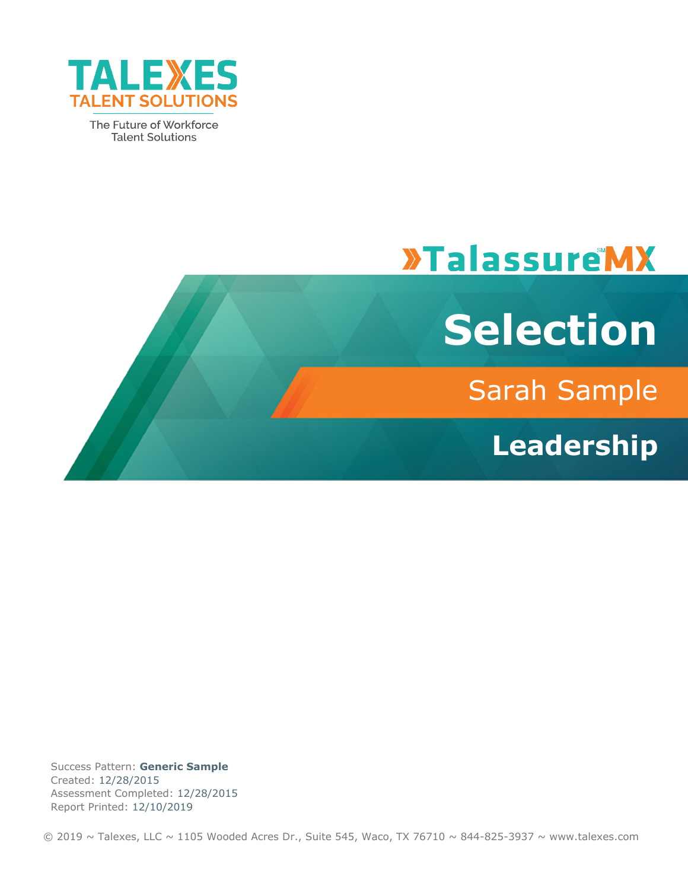

The Future of Workforce **Talent Solutions** 

# **»TalassureMX**



Sarah Sample

**Leadership**

Success Pattern: **Generic Sample** Created: 12/28/2015 Assessment Completed: 12/28/2015 Report Printed: 12/10/2019

 $\odot$  2019 ~ Talexes, LLC ~ 1105 Wooded Acres Dr., Suite 545, Waco, TX 76710 ~ 844-825-3937 ~ www.talexes.com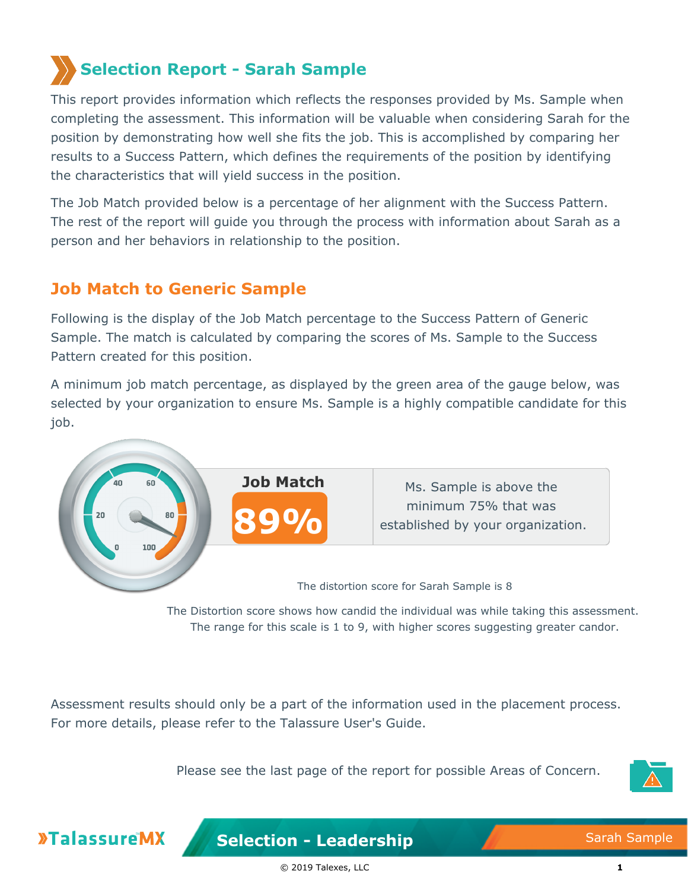## **Selection Report - Sarah Sample**

This report provides information which reflects the responses provided by Ms. Sample when completing the assessment. This information will be valuable when considering Sarah for the position by demonstrating how well she fits the job. This is accomplished by comparing her results to a Success Pattern, which defines the requirements of the position by identifying the characteristics that will yield success in the position.

The Job Match provided below is a percentage of her alignment with the Success Pattern. The rest of the report will guide you through the process with information about Sarah as a person and her behaviors in relationship to the position.

## **Job Match to Generic Sample**

Following is the display of the Job Match percentage to the Success Pattern of Generic Sample. The match is calculated by comparing the scores of Ms. Sample to the Success Pattern created for this position.

A minimum job match percentage, as displayed by the green area of the gauge below, was selected by your organization to ensure Ms. Sample is a highly compatible candidate for this job.



The Distortion score shows how candid the individual was while taking this assessment. The range for this scale is 1 to 9, with higher scores suggesting greater candor.

Assessment results should only be a part of the information used in the placement process. For more details, please refer to the Talassure User's Guide.

Please see the last page of the report for possible Areas of Concern.



**»TalassureMX**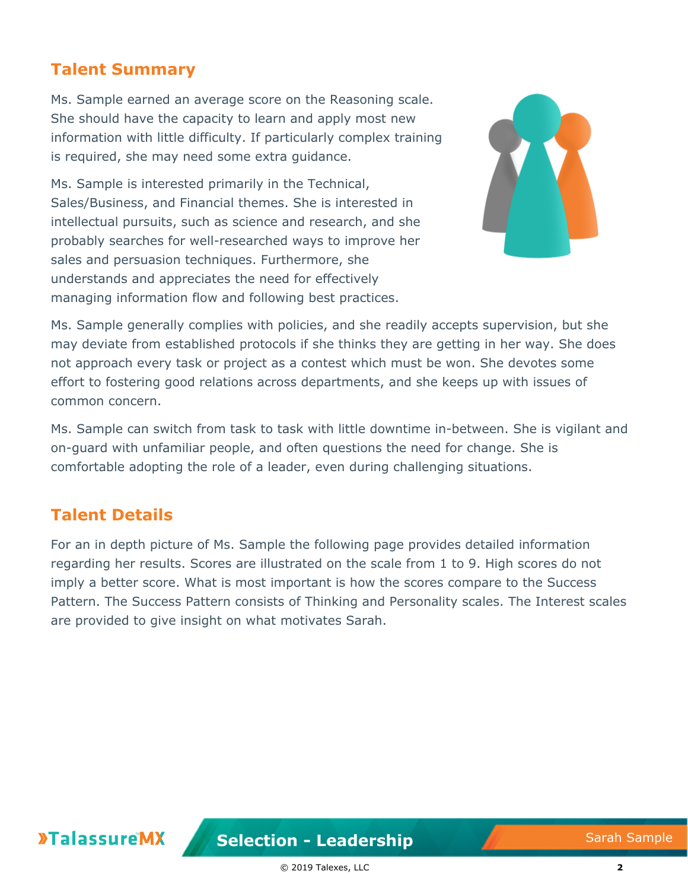## **Talent Summary**

Ms. Sample earned an average score on the Reasoning scale. She should have the capacity to learn and apply most new information with little difficulty. If particularly complex training is required, she may need some extra guidance.

Ms. Sample is interested primarily in the Technical, Sales/Business, and Financial themes. She is interested in intellectual pursuits, such as science and research, and she probably searches for well-researched ways to improve her sales and persuasion techniques. Furthermore, she understands and appreciates the need for effectively managing information flow and following best practices.



Ms. Sample generally complies with policies, and she readily accepts supervision, but she may deviate from established protocols if she thinks they are getting in her way. She does not approach every task or project as a contest which must be won. She devotes some effort to fostering good relations across departments, and she keeps up with issues of common concern.

Ms. Sample can switch from task to task with little downtime in-between. She is vigilant and on-guard with unfamiliar people, and often questions the need for change. She is comfortable adopting the role of a leader, even during challenging situations.

## **Talent Details**

For an in depth picture of Ms. Sample the following page provides detailed information regarding her results. Scores are illustrated on the scale from 1 to 9. High scores do not imply a better score. What is most important is how the scores compare to the Success Pattern. The Success Pattern consists of Thinking and Personality scales. The Interest scales are provided to give insight on what motivates Sarah.

**»TalassureMX**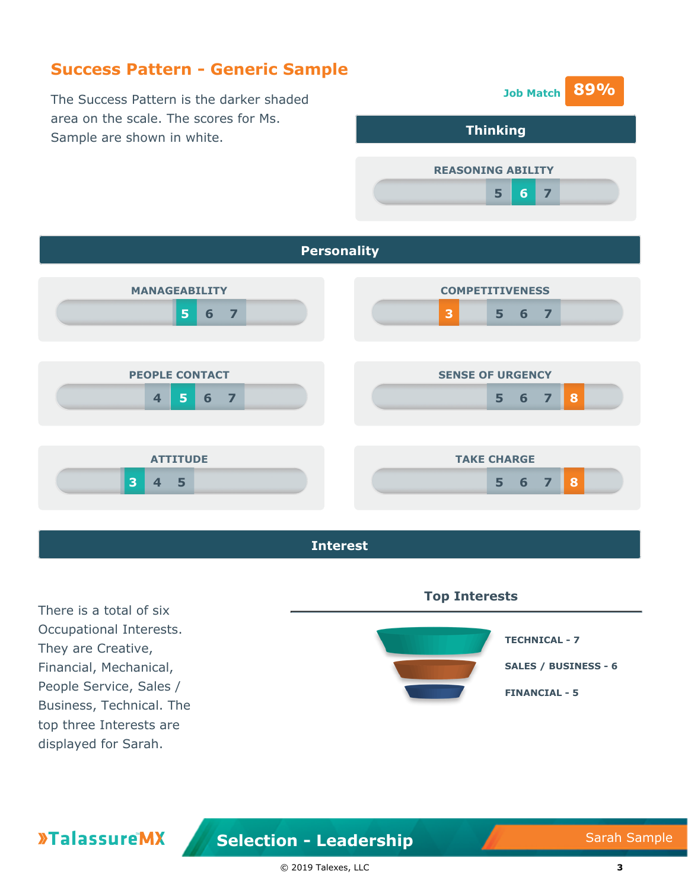## **Success Pattern - Generic Sample**

The Success Pattern is the darker shaded area on the scale. The scores for Ms. Sample are shown in white.







There is a total of six Occupational Interests. They are Creative, Financial, Mechanical, People Service, Sales / Business, Technical. The top three Interests are displayed for Sarah.

**»TalassureMX** 

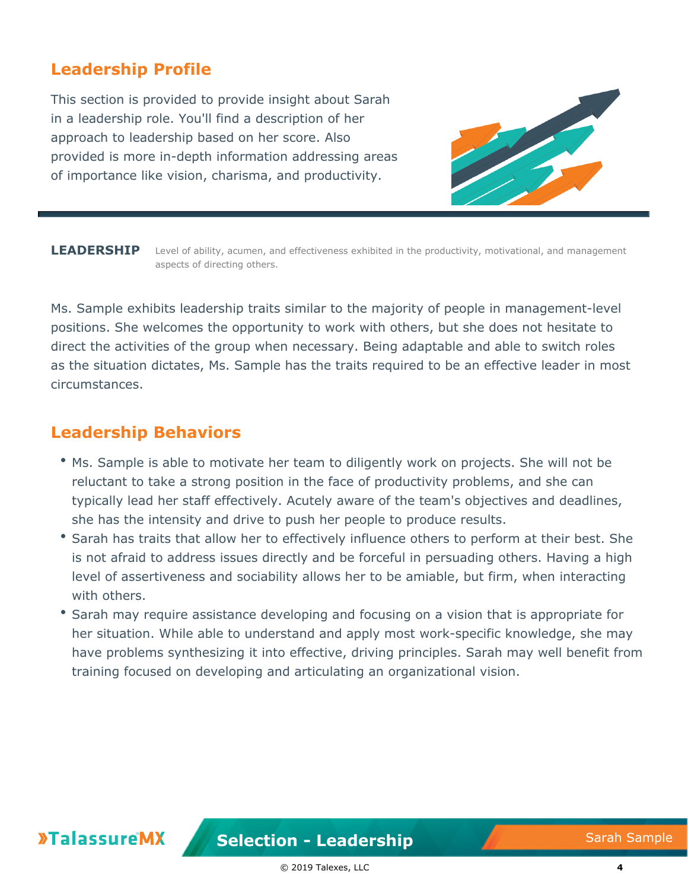## **Leadership Profile**

This section is provided to provide insight about Sarah in a leadership role. You'll find a description of her approach to leadership based on her score. Also provided is more in-depth information addressing areas of importance like vision, charisma, and productivity.



LEADERSHIP Level of ability, acumen, and effectiveness exhibited in the productivity, motivational, and management aspects of directing others.

Ms. Sample exhibits leadership traits similar to the majority of people in management-level positions. She welcomes the opportunity to work with others, but she does not hesitate to direct the activities of the group when necessary. Being adaptable and able to switch roles as the situation dictates, Ms. Sample has the traits required to be an effective leader in most circumstances.

#### **Leadership Behaviors**

- Ms. Sample is able to motivate her team to diligently work on projects. She will not be reluctant to take a strong position in the face of productivity problems, and she can typically lead her staff effectively. Acutely aware of the team's objectives and deadlines, she has the intensity and drive to push her people to produce results.
- Sarah has traits that allow her to effectively influence others to perform at their best. She is not afraid to address issues directly and be forceful in persuading others. Having a high level of assertiveness and sociability allows her to be amiable, but firm, when interacting with others.
- **Sarah may require assistance developing and focusing on a vision that is appropriate for** her situation. While able to understand and apply most work-specific knowledge, she may have problems synthesizing it into effective, driving principles. Sarah may well benefit from training focused on developing and articulating an organizational vision.

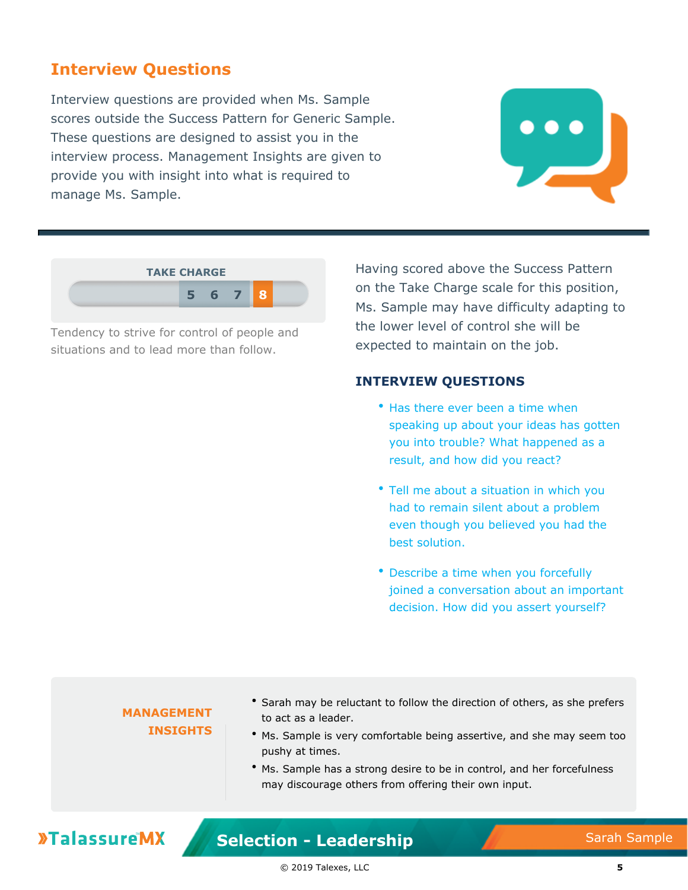## **Interview Questions**

Interview questions are provided when Ms. Sample scores outside the Success Pattern for Generic Sample. These questions are designed to assist you in the interview process. Management Insights are given to provide you with insight into what is required to manage Ms. Sample.





Tendency to strive for control of people and situations and to lead more than follow.

Having scored above the Success Pattern on the Take Charge scale for this position, Ms. Sample may have difficulty adapting to the lower level of control she will be expected to maintain on the job.

#### **INTERVIEW QUESTIONS**

- Has there ever been a time when speaking up about your ideas has gotten you into trouble? What happened as a result, and how did you react?
- Tell me about a situation in which you had to remain silent about a problem even though you believed you had the best solution.
- Describe a time when you forcefully joined a conversation about an important decision. How did you assert yourself?

#### **MANAGEMENT INSIGHTS**

- Sarah may be reluctant to follow the direction of others, as she prefers to act as a leader.
- Ms. Sample is very comfortable being assertive, and she may seem too pushy at times.
- Ms. Sample has a strong desire to be in control, and her forcefulness may discourage others from offering their own input.

## **»TalassureMX**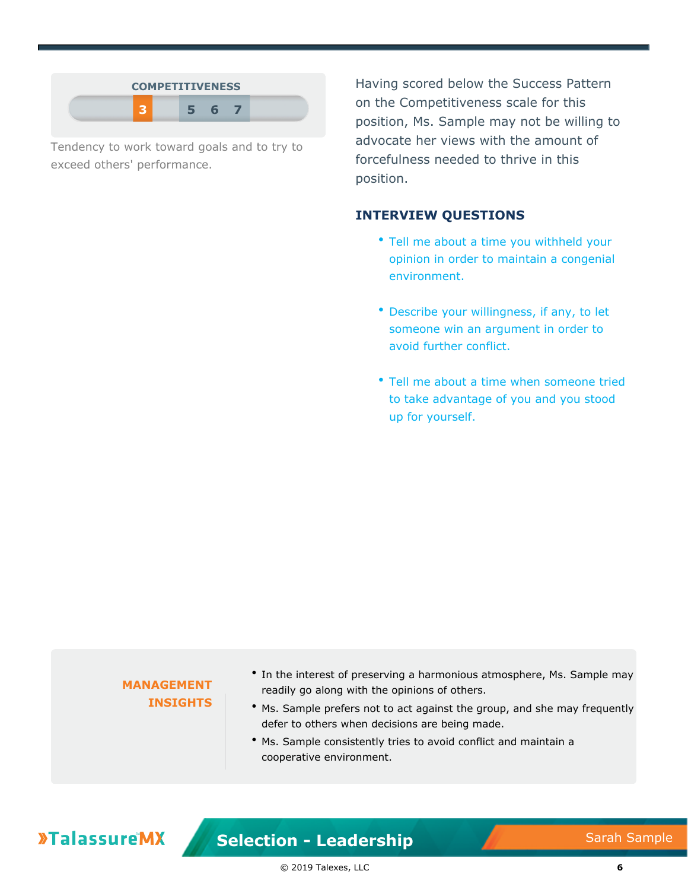| <b>COMPETITIVENESS</b> |   |  |
|------------------------|---|--|
|                        | F |  |

Tendency to work toward goals and to try to exceed others' performance.

Having scored below the Success Pattern on the Competitiveness scale for this position, Ms. Sample may not be willing to advocate her views with the amount of forcefulness needed to thrive in this position.

#### **INTERVIEW QUESTIONS**

- Tell me about a time you withheld your opinion in order to maintain a congenial environment.
- Describe your willingness, if any, to let someone win an argument in order to avoid further conflict.
- Tell me about a time when someone tried to take advantage of you and you stood up for yourself.

| • Ms. Sample consistently tries to avoid conflict and maintain a<br>cooperative environment. | <b>INSIGHTS</b><br>• Ms. Sample prefers not to act against the group, and she may frequently<br>defer to others when decisions are being made. | • In the interest of preserving a harmonious atmosphere, Ms. Sample may<br><b>MANAGEMENT</b><br>readily go along with the opinions of others. |
|----------------------------------------------------------------------------------------------|------------------------------------------------------------------------------------------------------------------------------------------------|-----------------------------------------------------------------------------------------------------------------------------------------------|
|----------------------------------------------------------------------------------------------|------------------------------------------------------------------------------------------------------------------------------------------------|-----------------------------------------------------------------------------------------------------------------------------------------------|

**»TalassureMX** 

**Selection - Leadership** Sarah Sample

© 2019 Talexes, LLC **6**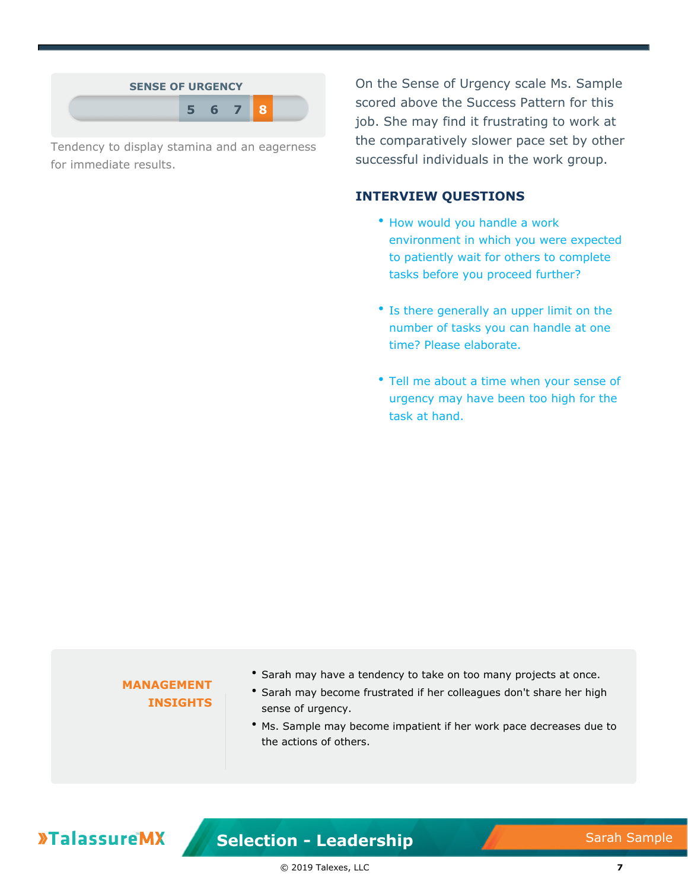| $-6-$ |  | <b>SENSE OF URGENCY</b> |  |  |
|-------|--|-------------------------|--|--|
|       |  |                         |  |  |

Tendency to display stamina and an eagerness for immediate results.

On the Sense of Urgency scale Ms. Sample scored above the Success Pattern for this job. She may find it frustrating to work at the comparatively slower pace set by other successful individuals in the work group.

#### **INTERVIEW QUESTIONS**

- How would you handle a work environment in which you were expected to patiently wait for others to complete tasks before you proceed further?
- Is there generally an upper limit on the number of tasks you can handle at one time? Please elaborate.
- Tell me about a time when your sense of urgency may have been too high for the task at hand.

#### **MANAGEMENT INSIGHTS**

- Sarah may have a tendency to take on too many projects at once.
- Sarah may become frustrated if her colleagues don't share her high sense of urgency.
- Ms. Sample may become impatient if her work pace decreases due to the actions of others.

## **»TalassureMX**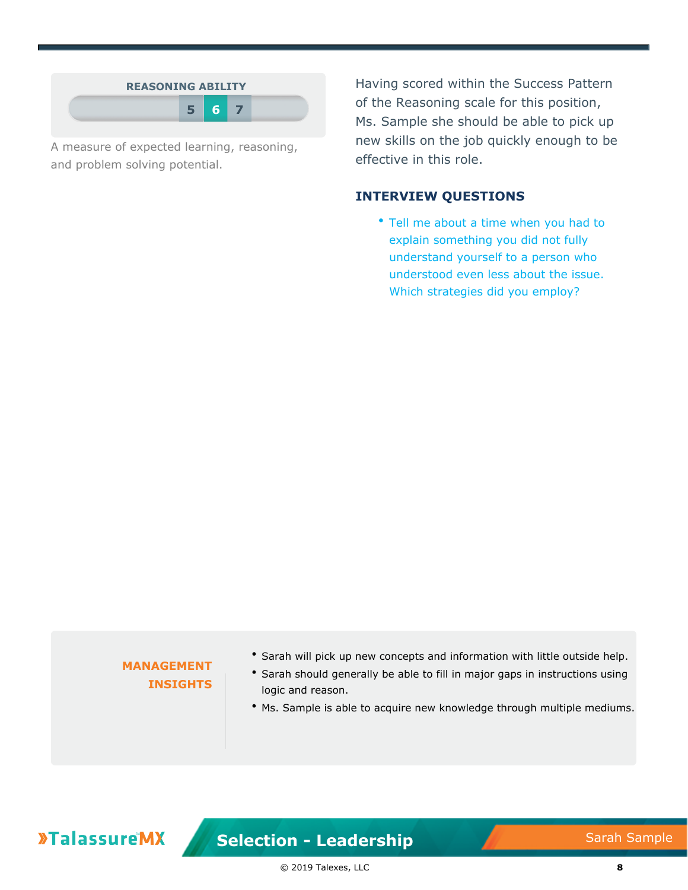|  | <b>REASONING ABILITY</b><br>5 6 7 |
|--|-----------------------------------|

A measure of expected learning, reasoning, and problem solving potential.

Having scored within the Success Pattern of the Reasoning scale for this position, Ms. Sample she should be able to pick up new skills on the job quickly enough to be effective in this role.

#### **INTERVIEW QUESTIONS**

• Tell me about a time when you had to explain something you did not fully understand yourself to a person who understood even less about the issue. Which strategies did you employ?

#### **MANAGEMENT INSIGHTS**

- Sarah will pick up new concepts and information with little outside help.
- Sarah should generally be able to fill in major gaps in instructions using logic and reason.
- Ms. Sample is able to acquire new knowledge through multiple mediums.

## **»TalassureMX**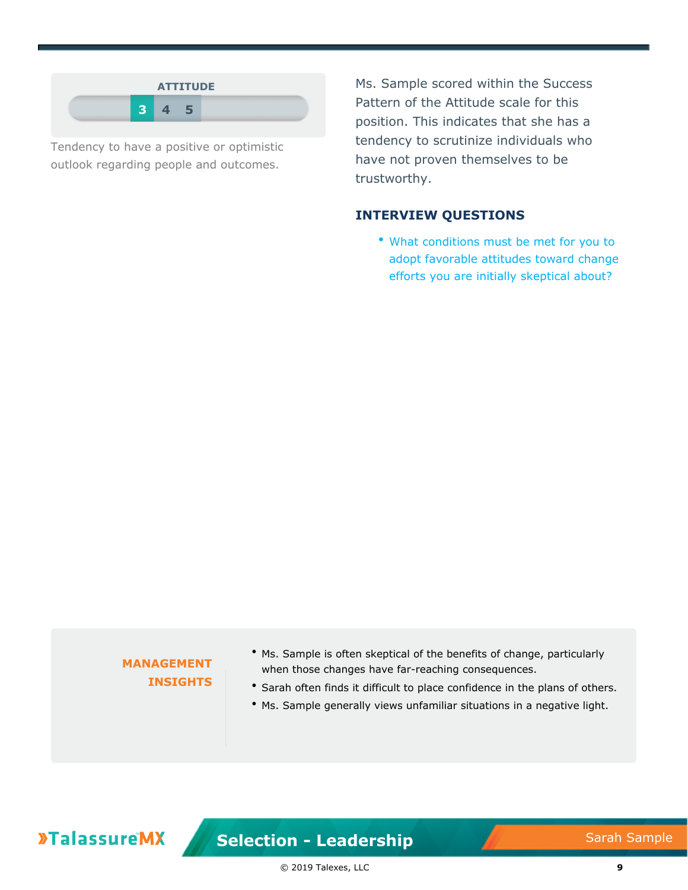

Tendency to have a positive or optimistic outlook regarding people and outcomes.

Ms. Sample scored within the Success Pattern of the Attitude scale for this position. This indicates that she has a tendency to scrutinize individuals who have not proven themselves to be trustworthy.

#### **INTERVIEW QUESTIONS**

What conditions must be met for you to adopt favorable attitudes toward change efforts you are initially skeptical about?

#### **MANAGEMENT INSIGHTS**

- Ms. Sample is often skeptical of the benefits of change, particularly when those changes have far-reaching consequences.
- Sarah often finds it difficult to place confidence in the plans of others.
- Ms. Sample generally views unfamiliar situations in a negative light.

## **»TalassureMX**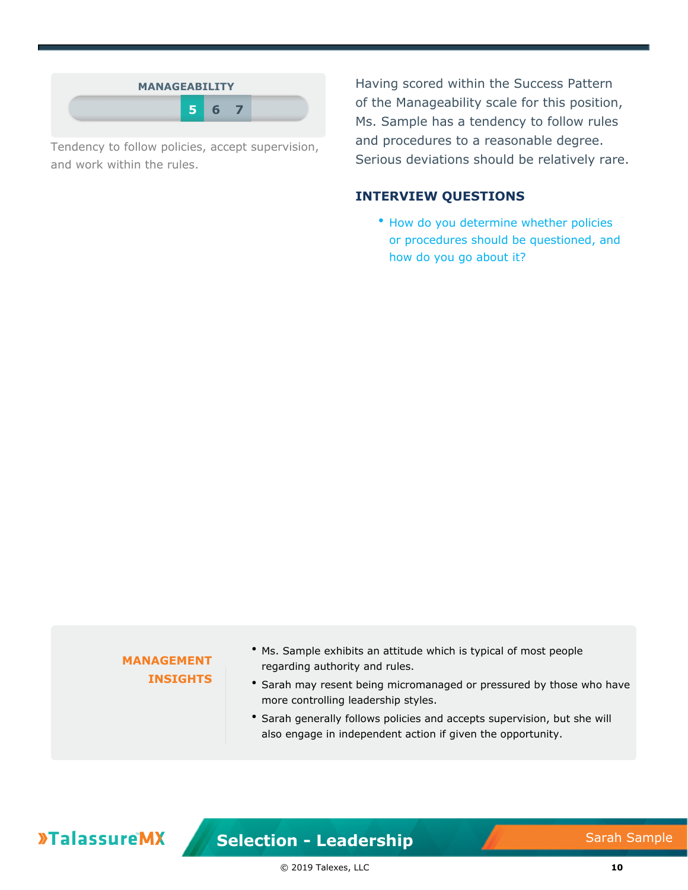| <b>MANAGEABILITY</b> |    |  |  |
|----------------------|----|--|--|
| -51                  | -6 |  |  |

Tendency to follow policies, accept supervision, and work within the rules.

Having scored within the Success Pattern of the Manageability scale for this position, Ms. Sample has a tendency to follow rules and procedures to a reasonable degree. Serious deviations should be relatively rare.

#### **INTERVIEW QUESTIONS**

• How do you determine whether policies or procedures should be questioned, and how do you go about it?

#### **MANAGEMENT INSIGHTS**

- Ms. Sample exhibits an attitude which is typical of most people regarding authority and rules.
- \* Sarah may resent being micromanaged or pressured by those who have more controlling leadership styles.
- Sarah generally follows policies and accepts supervision, but she will also engage in independent action if given the opportunity.

## **»TalassureMX**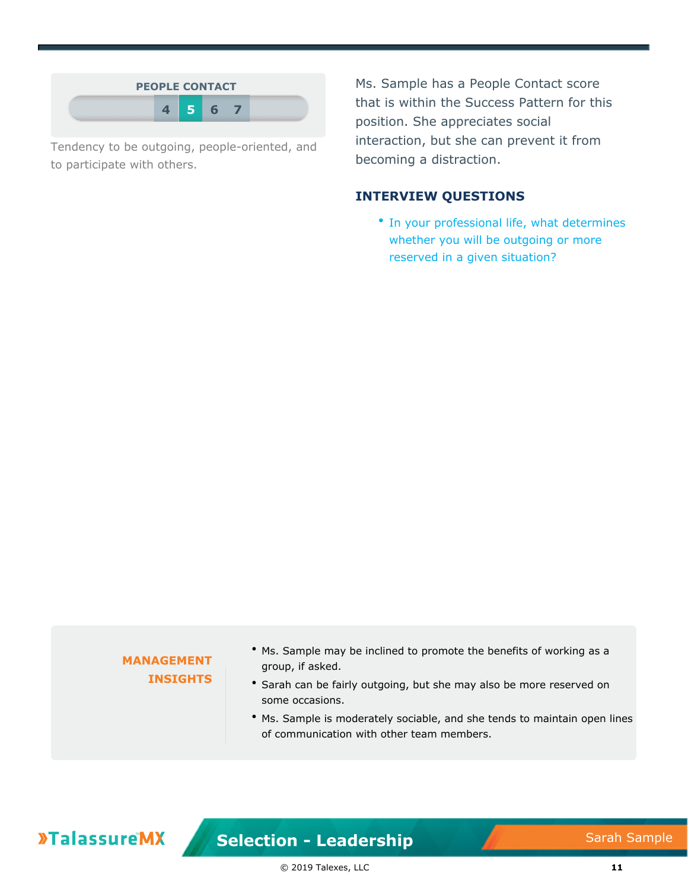

Tendency to be outgoing, people-oriented, and to participate with others.

Ms. Sample has a People Contact score that is within the Success Pattern for this position. She appreciates social interaction, but she can prevent it from becoming a distraction.

#### **INTERVIEW QUESTIONS**

• In your professional life, what determines whether you will be outgoing or more reserved in a given situation?

#### **MANAGEMENT INSIGHTS**

- Ms. Sample may be inclined to promote the benefits of working as a group, if asked.
- Sarah can be fairly outgoing, but she may also be more reserved on some occasions.
- Ms. Sample is moderately sociable, and she tends to maintain open lines of communication with other team members.

## **»TalassureMX**